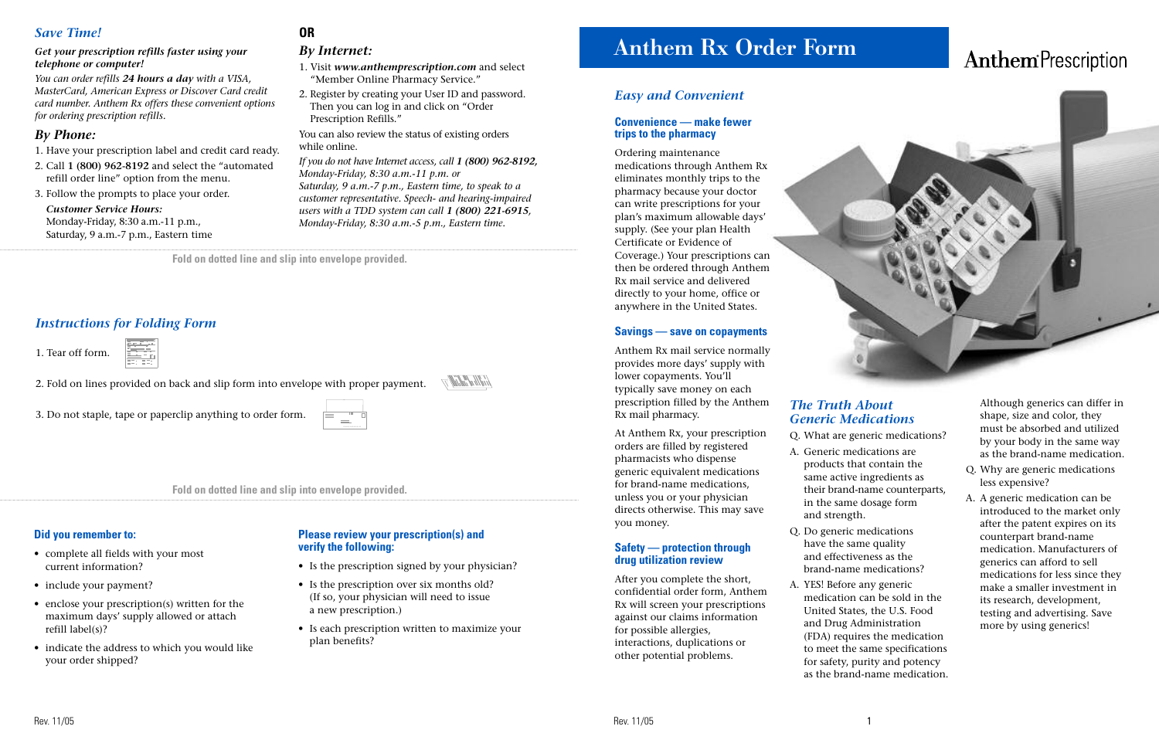**Fold on dotted line and slip into envelope provided.**

# **Anthem Rx Order Form**

# *Easy and Convenient*

#### **Convenience — make fewer trips to the pharmacy**

Ordering maintenance medications through Anthem Rx eliminates monthly trips to the pharmacy because your doctor can write prescriptions for your plan's maximum allowable days' supply. (See your plan Health Certificate or Evidence of Coverage.) Your prescriptions can then be ordered through Anthem Rx mail service and delivered directly to your home, office or anywhere in the United States.

#### **Savings — save on copayments**

Anthem Rx mail service normally provides more days' supply with lower copayments. You'll typically save money on each prescription filled by the Anthem Rx mail pharmacy.

At Anthem Rx, your prescription orders are filled by registered pharmacists who dispense generic equivalent medications for brand-name medications, unless you or your physician directs otherwise. This may save you money.

#### **Safety — protection through drug utilization review**

After you complete the short, confidential order form, Anthem Rx will screen your prescriptions against our claims information for possible allergies, interactions, duplications or other potential problems.

# *The Truth About Generic Medications*

Q. What are generic medications?

A. Generic medications are products that contain the same active ingredients as their brand-name counterparts, in the same dosage form

- and strength.
- Q. Do generic medications
	-

# **Anthem**<sup>Prescription</sup>



have the same quality and effectiveness as the brand-name medications?

A. YES! Before any generic medication can be sold in the United States, the U.S. Food and Drug Administration (FDA) requires the medication to meet the same specifications for safety, purity and potency as the brand-name medication.

**Fold on dotted line and slip into envelope provided.**

Although generics can differ in shape, size and color, they must be absorbed and utilized by your body in the same way as the brand-name medication.

- Q. Why are generic medications less expensive?
- A. A generic medication can be introduced to the market only after the patent expires on its counterpart brand-name medication. Manufacturers of generics can afford to sell medications for less since they make a smaller investment in its research, development, testing and advertising. Save more by using generics!

## *Save Time!*

#### *Get your prescription refills faster using your telephone or computer!*

*You can order refills 24 hours a day with a VISA, MasterCard, American Express or Discover Card credit card number. Anthem Rx offers these convenient options for ordering prescription refills.*

## *By Phone:*

- 1. Have your prescription label and credit card ready.
- 2. Call **1 (800) 962-8192** and select the "automated refill order line" option from the menu.
- 3. Follow the prompts to place your order.

*Customer Service Hours:* Monday-Friday, 8:30 a.m.-11 p.m., Saturday, 9 a.m.-7 p.m., Eastern time

# **OR**

### *By Internet:*

- 1. Visit *www.anthemprescription.com* and select "Member Online Pharmacy Service."
- 2. Register by creating your User ID and password. Then you can log in and click on "Order Prescription Refills."

You can also review the status of existing orders while online.

*If you do not have Internet access, call 1 (800) 962-8192, Monday-Friday, 8:30 a.m.-11 p.m. or Saturday, 9 a.m.-7 p.m., Eastern time, to speak to a customer representative. Speech- and hearing-impaired users with a TDD system can call 1 (800) 221-6915, Monday-Friday, 8:30 a.m.-5 p.m., Eastern time.* 

(idila alla

## *Instructions for Folding Form*

1. Tear off form.

2. Fold on lines provided on back and slip form into envelope with proper payment.

3. Do not staple, tape or paperclip anything to order form.



#### **Did you remember to:**

- complete all fields with your most current information?
- include your payment?
- enclose your prescription(s) written for the maximum days' supply allowed or attach refill label(s)?
- indicate the address to which you would like your order shipped?

#### **Please review your prescription(s) and verify the following:**

- Is the prescription signed by your physician?
- Is the prescription over six months old? (If so, your physician will need to issue a new prescription.)
- Is each prescription written to maximize your plan benefits?